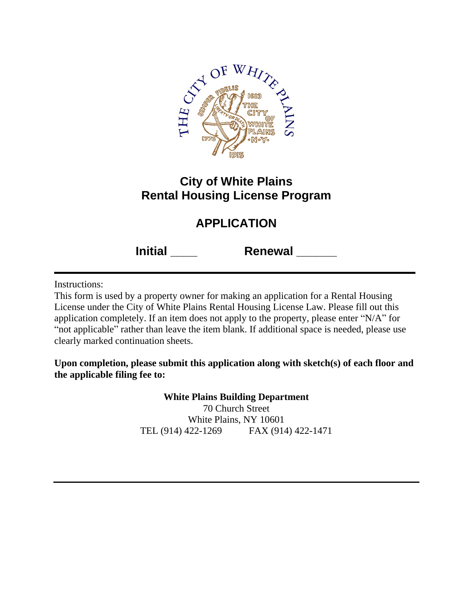

## **City of White Plains Rental Housing License Program**

# **APPLICATION**

**Initial \_\_\_\_ Renewal \_\_\_\_\_\_**

Instructions:

This form is used by a property owner for making an application for a Rental Housing License under the City of White Plains Rental Housing License Law. Please fill out this application completely. If an item does not apply to the property, please enter "N/A" for "not applicable" rather than leave the item blank. If additional space is needed, please use clearly marked continuation sheets.

**Upon completion, please submit this application along with sketch(s) of each floor and the applicable filing fee to:**

> **White Plains Building Department** 70 Church Street White Plains, NY 10601 TEL (914) 422-1269 FAX (914) 422-1471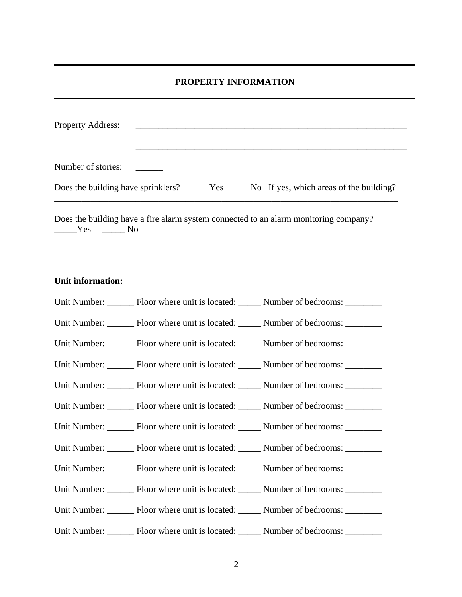#### **PROPERTY INFORMATION**

| <b>Property Address:</b> |  |
|--------------------------|--|
|                          |  |
| Number of stories:       |  |
|                          |  |
|                          |  |

Does the building have a fire alarm system connected to an alarm monitoring company? \_\_\_\_\_Yes \_\_\_\_\_ No

#### **Unit information:**

| Unit Number: ________ Floor where unit is located: ______ Number of bedrooms: _______  |  |
|----------------------------------------------------------------------------------------|--|
| Unit Number: ________ Floor where unit is located: ______ Number of bedrooms: _______  |  |
| Unit Number: ________ Floor where unit is located: ______ Number of bedrooms: _______  |  |
| Unit Number: ________ Floor where unit is located: ______ Number of bedrooms: _______  |  |
| Unit Number: ________ Floor where unit is located: ______ Number of bedrooms: _______  |  |
| Unit Number: ________ Floor where unit is located: ______ Number of bedrooms: _______  |  |
| Unit Number: _______ Floor where unit is located: _____ Number of bedrooms: ______     |  |
| Unit Number: ________ Floor where unit is located: ______ Number of bedrooms: ________ |  |
| Unit Number: ________ Floor where unit is located: ______ Number of bedrooms: ________ |  |
| Unit Number: ________ Floor where unit is located: ______ Number of bedrooms: ________ |  |
| Unit Number: ________ Floor where unit is located: ______ Number of bedrooms: ________ |  |
| Unit Number: ________ Floor where unit is located: ______ Number of bedrooms: ________ |  |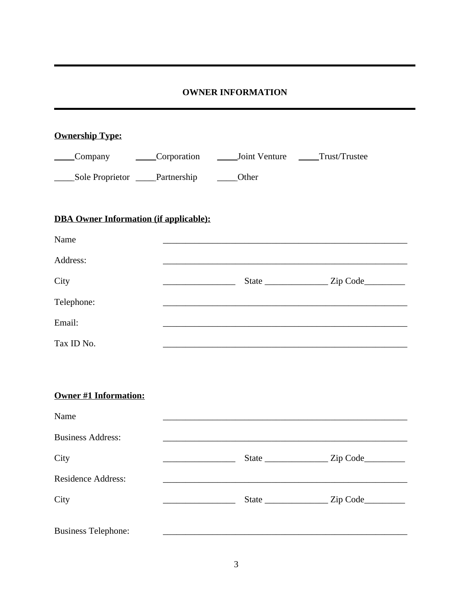#### **OWNER INFORMATION**

| <b>Ownership Type:</b>                        |                                                                                                                     |                                            |          |
|-----------------------------------------------|---------------------------------------------------------------------------------------------------------------------|--------------------------------------------|----------|
| Company Corporation                           |                                                                                                                     | _______Joint Venture ________Trust/Trustee |          |
| Sole Proprietor _____Partnership              |                                                                                                                     | Other                                      |          |
| <b>DBA Owner Information (if applicable):</b> |                                                                                                                     |                                            |          |
| Name                                          |                                                                                                                     |                                            |          |
| Address:                                      |                                                                                                                     |                                            |          |
| City                                          | <u> 1989 - Johann Barn, mars ann an t-Amhain an t-Amhain an t-Amhain an t-Amhain an t-Amhain an t-Amhain an t-A</u> |                                            |          |
| Telephone:                                    |                                                                                                                     |                                            |          |
| Email:                                        |                                                                                                                     |                                            |          |
| Tax ID No.                                    |                                                                                                                     |                                            |          |
|                                               |                                                                                                                     |                                            |          |
| <b>Owner #1 Information:</b>                  |                                                                                                                     |                                            |          |
| Name                                          |                                                                                                                     |                                            |          |
| <b>Business Address:</b>                      |                                                                                                                     |                                            |          |
| City                                          |                                                                                                                     | <b>State</b>                               | Zip Code |
| Residence Address:                            |                                                                                                                     |                                            |          |
| City                                          |                                                                                                                     |                                            |          |
| <b>Business Telephone:</b>                    |                                                                                                                     |                                            |          |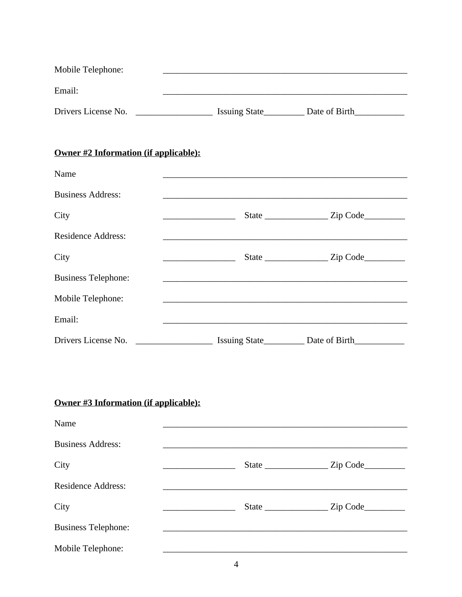| Mobile Telephone:   |                      |               |
|---------------------|----------------------|---------------|
| Email:              |                      |               |
| Drivers License No. | <b>Issuing State</b> | Date of Birth |

## Owner #2 Information (if applicable):

| Name                                  |                                                                                                                       |  |
|---------------------------------------|-----------------------------------------------------------------------------------------------------------------------|--|
| <b>Business Address:</b>              | <u> 1989 - Johann Barbara, marka a shekara ta 1989 - An tsara tsa 1989 - An tsara tsa 1989 - An tsa 1989 - An tsa</u> |  |
| City                                  |                                                                                                                       |  |
| <b>Residence Address:</b>             |                                                                                                                       |  |
| City                                  |                                                                                                                       |  |
| <b>Business Telephone:</b>            | and the control of the control of the control of the control of the control of the control of the control of the      |  |
| Mobile Telephone:                     |                                                                                                                       |  |
| Email:                                | <u> 1989 - Johann Barbara, margaret e populazion del control del control del control del control del control del</u>  |  |
|                                       | Drivers License No. ___________________________ Issuing State______________ Date of Birth___________                  |  |
|                                       |                                                                                                                       |  |
|                                       |                                                                                                                       |  |
| Owner #3 Information (if applicable): |                                                                                                                       |  |
| Name                                  |                                                                                                                       |  |
| <b>Business Address:</b>              |                                                                                                                       |  |

| City                       | State        | $\mathsf{Zip Code} \_\_\_\_\$ |
|----------------------------|--------------|-------------------------------|
| <b>Residence Address:</b>  |              |                               |
| City                       | State $\_\_$ | Zip Code                      |
| <b>Business Telephone:</b> |              |                               |
| Mobile Telephone:          |              |                               |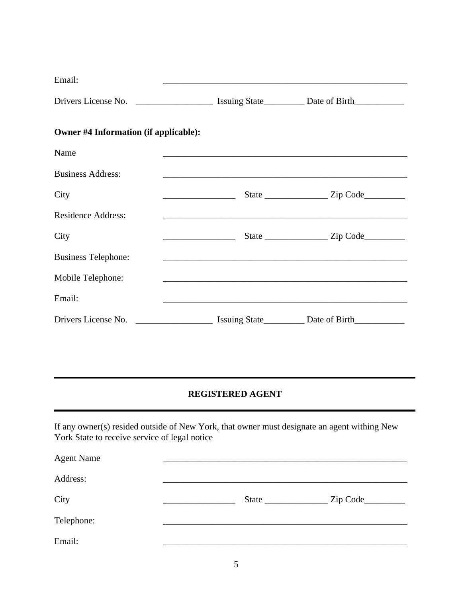| Email:                                                                                               | the control of the control of the control of the control of the control of the control of                             |  |
|------------------------------------------------------------------------------------------------------|-----------------------------------------------------------------------------------------------------------------------|--|
| Drivers License No. __________________________ Issuing State_____________ Date of Birth_____________ |                                                                                                                       |  |
| Owner #4 Information (if applicable):                                                                |                                                                                                                       |  |
| Name                                                                                                 | <u> 1989 - Johann Barbara, margaret eta idazlearia (h. 1989).</u>                                                     |  |
| <b>Business Address:</b>                                                                             | <u> 1989 - Johann Harry Harry Harry Harry Harry Harry Harry Harry Harry Harry Harry Harry Harry Harry Harry Harry</u> |  |
| City                                                                                                 |                                                                                                                       |  |
| <b>Residence Address:</b>                                                                            |                                                                                                                       |  |
| City                                                                                                 |                                                                                                                       |  |
| <b>Business Telephone:</b>                                                                           |                                                                                                                       |  |
| Mobile Telephone:                                                                                    |                                                                                                                       |  |
| Email:                                                                                               |                                                                                                                       |  |
| Drivers License No. _______________________ Issuing State___________ Date of Birth__________________ |                                                                                                                       |  |

#### **REGISTERED AGENT**

If any owner(s) resided outside of New York, that owner must designate an agent withing New York State to receive service of legal notice

| <b>Agent Name</b> |  |          |
|-------------------|--|----------|
| Address:          |  |          |
| City              |  | Zip Code |
| Telephone:        |  |          |
| Email:            |  |          |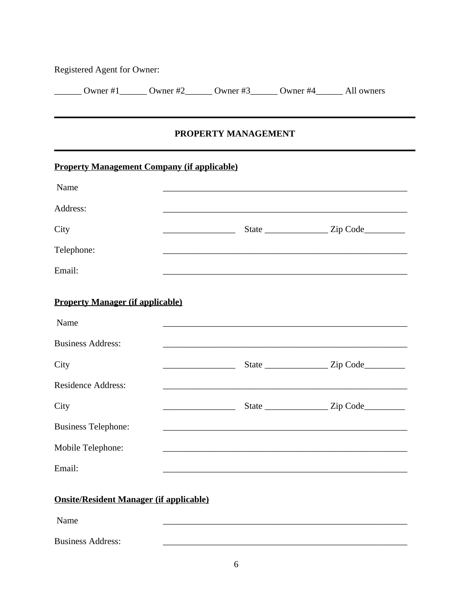| Registered Agent for Owner: |          |          |          |            |
|-----------------------------|----------|----------|----------|------------|
| Owner #1                    | Owner #2 | Owner #3 | Owner #4 | All owners |

#### PROPERTY MANAGEMENT

| <b>Property Management Company (if applicable)</b> |                                                                |  |
|----------------------------------------------------|----------------------------------------------------------------|--|
| Name                                               |                                                                |  |
| Address:                                           |                                                                |  |
| City                                               | <u> 1989 - Johann Barbara, martin amerikan per</u>             |  |
| Telephone:                                         |                                                                |  |
| Email:                                             |                                                                |  |
| <b>Property Manager (if applicable)</b>            |                                                                |  |
| Name                                               | <u> 1989 - Johann Barbara, margaret eta idazlea (h. 1989).</u> |  |
| <b>Business Address:</b>                           | <u> 1989 - Johann Stoff, amerikansk politiker (d. 1989)</u>    |  |
| City                                               |                                                                |  |
| <b>Residence Address:</b>                          |                                                                |  |
| City                                               |                                                                |  |
| <b>Business Telephone:</b>                         |                                                                |  |
| Mobile Telephone:                                  |                                                                |  |
| Email:                                             |                                                                |  |
| <b>Onsite/Resident Manager (if applicable)</b>     |                                                                |  |
| Name                                               |                                                                |  |

**Business Address:**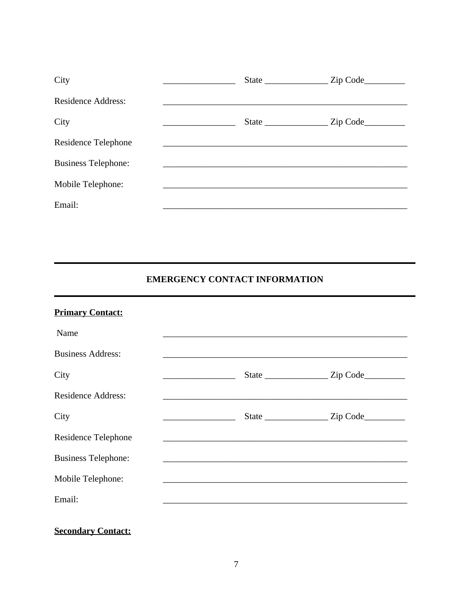| City                       |  |          |
|----------------------------|--|----------|
| <b>Residence Address:</b>  |  |          |
| City                       |  | Zip Code |
| Residence Telephone        |  |          |
| <b>Business Telephone:</b> |  |          |
| Mobile Telephone:          |  |          |
| Email:                     |  |          |

## **EMERGENCY CONTACT INFORMATION**

| <b>Primary Contact:</b>    |                                                                                                                                                                                                                               |  |
|----------------------------|-------------------------------------------------------------------------------------------------------------------------------------------------------------------------------------------------------------------------------|--|
| Name                       |                                                                                                                                                                                                                               |  |
| <b>Business Address:</b>   |                                                                                                                                                                                                                               |  |
| City                       |                                                                                                                                                                                                                               |  |
| <b>Residence Address:</b>  |                                                                                                                                                                                                                               |  |
| City                       |                                                                                                                                                                                                                               |  |
| Residence Telephone        | the control of the control of the control of the control of the control of the control of the control of the control of the control of the control of the control of the control of the control of the control of the control |  |
| <b>Business Telephone:</b> |                                                                                                                                                                                                                               |  |
| Mobile Telephone:          |                                                                                                                                                                                                                               |  |
| Email:                     |                                                                                                                                                                                                                               |  |
|                            |                                                                                                                                                                                                                               |  |
| <b>Secondary Contact:</b>  |                                                                                                                                                                                                                               |  |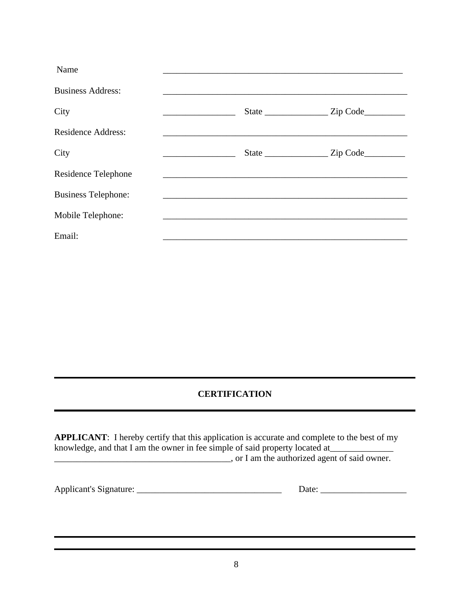| Name                       |       |          |
|----------------------------|-------|----------|
| <b>Business Address:</b>   |       |          |
| City                       | State | Zip Code |
| <b>Residence Address:</b>  |       |          |
| City                       |       | Zip Code |
| Residence Telephone        |       |          |
| <b>Business Telephone:</b> |       |          |
| Mobile Telephone:          |       |          |
| Email:                     |       |          |

### **CERTIFICATION**

| <b>APPLICANT:</b> I hereby certify that this application is accurate and complete to the best of my |  |  |  |
|-----------------------------------------------------------------------------------------------------|--|--|--|
| knowledge, and that I am the owner in fee simple of said property located at                        |  |  |  |
| , or I am the authorized agent of said owner.                                                       |  |  |  |

| <b>Applicant's Signature:</b> |  |
|-------------------------------|--|
|                               |  |